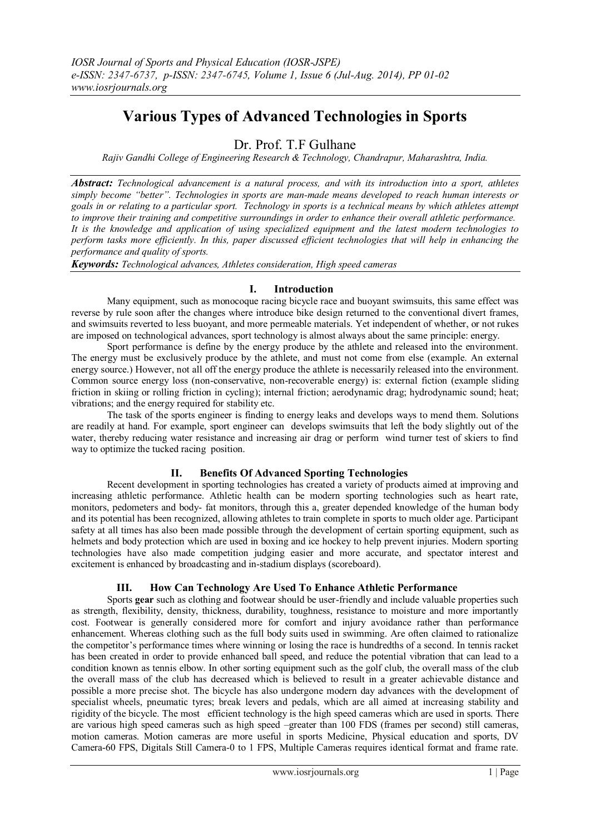# **Various Types of Advanced Technologies in Sports**

## Dr. Prof. T.F Gulhane

*Rajiv Gandhi College of Engineering Research & Technology, Chandrapur, Maharashtra, India.*

*Abstract: Technological advancement is a natural process, and with its introduction into a sport, athletes simply become "better". Technologies in sports are man-made means developed to reach human interests or goals in or relating to a particular sport. Technology in sports is a technical means by which athletes attempt to improve their training and competitive surroundings in order to enhance their overall athletic performance. It is the knowledge and application of using specialized equipment and the latest modern technologies to perform tasks more efficiently. In this, paper discussed efficient technologies that will help in enhancing the performance and quality of sports.*

*Keywords: Technological advances, Athletes consideration, High speed cameras*

### **I. Introduction**

Many equipment, such as monocoque racing bicycle race and buoyant swimsuits, this same effect was reverse by rule soon after the changes where introduce bike design returned to the conventional divert frames, and swimsuits reverted to less buoyant, and more permeable materials. Yet independent of whether, or not rukes are imposed on technological advances, sport technology is almost always about the same principle: energy.

Sport performance is define by the energy produce by the athlete and released into the environment. The energy must be exclusively produce by the athlete, and must not come from else (example. An external energy source.) However, not all off the energy produce the athlete is necessarily released into the environment. Common source energy loss (non-conservative, non-recoverable energy) is: external fiction (example sliding friction in skiing or rolling friction in cycling); internal friction; aerodynamic drag; hydrodynamic sound; heat; vibrations; and the energy required for stability etc.

The task of the sports engineer is finding to energy leaks and develops ways to mend them. Solutions are readily at hand. For example, sport engineer can develops swimsuits that left the body slightly out of the water, thereby reducing water resistance and increasing air drag or perform wind turner test of skiers to find way to optimize the tucked racing position.

## **II. Benefits Of Advanced Sporting Technologies**

Recent development in sporting technologies has created a variety of products aimed at improving and increasing athletic performance. Athletic health can be modern sporting technologies such as heart rate, monitors, pedometers and body- fat monitors, through this a, greater depended knowledge of the human body and its potential has been recognized, allowing athletes to train complete in sports to much older age. Participant safety at all times has also been made possible through the development of certain sporting equipment, such as helmets and body protection which are used in boxing and ice hockey to help prevent injuries. Modern sporting technologies have also made competition judging easier and more accurate, and spectator interest and excitement is enhanced by broadcasting and in-stadium displays (scoreboard).

## **III. How Can Technology Are Used To Enhance Athletic Performance**

Sports **gear** such as clothing and footwear should be user-friendly and include valuable properties such as strength, flexibility, density, thickness, durability, toughness, resistance to moisture and more importantly cost. Footwear is generally considered more for comfort and injury avoidance rather than performance enhancement. Whereas clothing such as the full body suits used in swimming. Are often claimed to rationalize the competitor's performance times where winning or losing the race is hundredths of a second. In tennis racket has been created in order to provide enhanced ball speed, and reduce the potential vibration that can lead to a condition known as tennis elbow. In other sorting equipment such as the golf club, the overall mass of the club the overall mass of the club has decreased which is believed to result in a greater achievable distance and possible a more precise shot. The bicycle has also undergone modern day advances with the development of specialist wheels, pneumatic tyres; break levers and pedals, which are all aimed at increasing stability and rigidity of the bicycle. The most efficient technology is the high speed cameras which are used in sports. There are various high speed cameras such as high speed –greater than 100 FDS (frames per second) still cameras, motion cameras. Motion cameras are more useful in sports Medicine, Physical education and sports, DV Camera-60 FPS, Digitals Still Camera-0 to 1 FPS, Multiple Cameras requires identical format and frame rate.